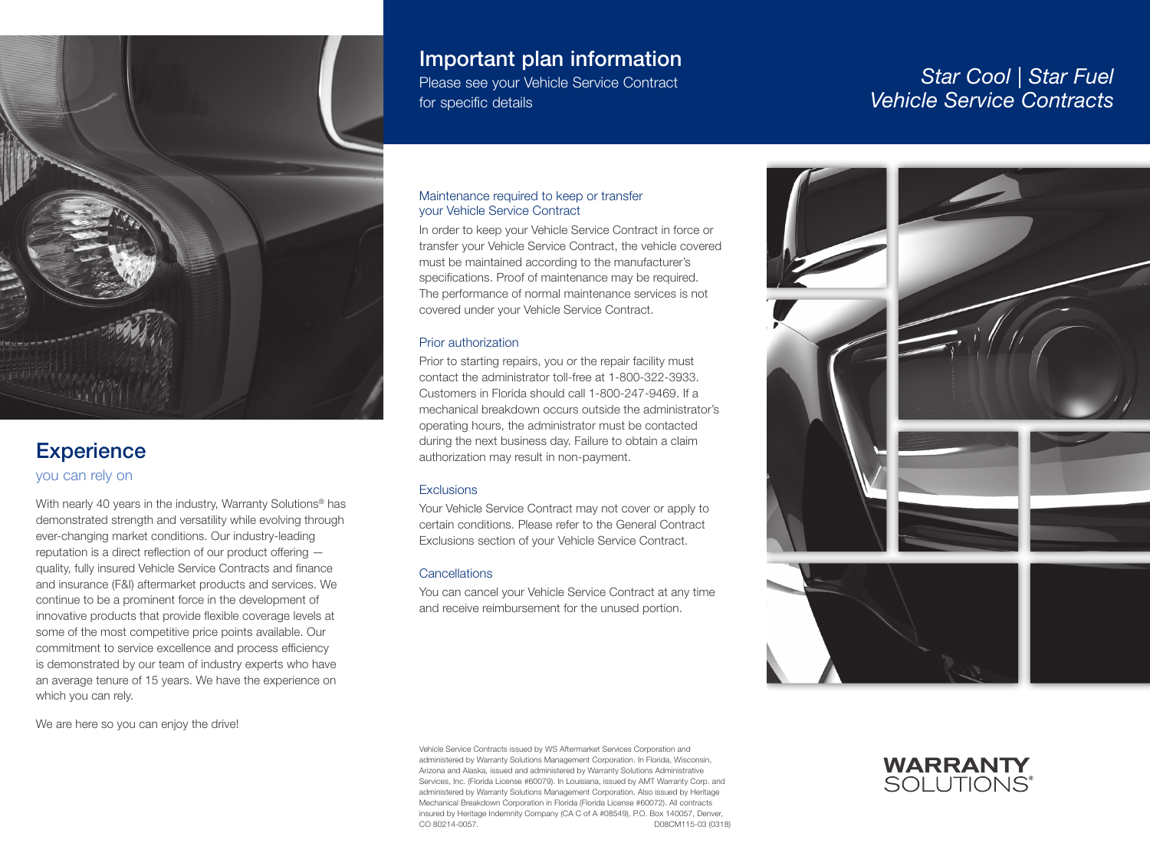

## **Experience**

you can rely on

With nearly 40 years in the industry, Warranty Solutions<sup>®</sup> has demonstrated strength and versatility while evolving through ever-changing market conditions. Our industry-leading reputation is a direct reflection of our product offering quality, fully insured Vehicle Service Contracts and finance and insurance (F&I) aftermarket products and services. We continue to be a prominent force in the development of innovative products that provide flexible coverage levels at some of the most competitive price points available. Our commitment to service excellence and process efficiency is demonstrated by our team of industry experts who have an average tenure of 15 years. We have the experience on which you can rely.

We are here so you can enjoy the drive!

## Important plan information

Please see your Vehicle Service Contract for specific details

# *Star Cool | Star Fuel Vehicle Service Contracts*

#### Maintenance required to keep or transfer your Vehicle Service Contract

In order to keep your Vehicle Service Contract in force or transfer your Vehicle Service Contract, the vehicle covered must be maintained according to the manufacturer's specifications. Proof of maintenance may be required. The performance of normal maintenance services is not covered under your Vehicle Service Contract.

#### Prior authorization

Prior to starting repairs, you or the repair facility must contact the administrator toll-free at 1-800-322-3933. Customers in Florida should call 1-800-247-9469. If a mechanical breakdown occurs outside the administrator's operating hours, the administrator must be contacted during the next business day. Failure to obtain a claim authorization may result in non-payment.

#### **Exclusions**

Your Vehicle Service Contract may not cover or apply to certain conditions. Please refer to the General Contract Exclusions section of your Vehicle Service Contract.

#### **Cancellations**

You can cancel your Vehicle Service Contract at any time and receive reimbursement for the unused portion.



**WARRANTY SOLUTIONS®** 

Vehicle Service Contracts issued by WS Aftermarket Services Corporation and administered by Warranty Solutions Management Corporation. In Florida, Wisconsin, Arizona and Alaska, issued and administered by Warranty Solutions Administrative Services, Inc. (Florida License #60079). In Louisiana, issued by AMT Warranty Corp. and administered by Warranty Solutions Management Corporation. Also issued by Heritage Mechanical Breakdown Corporation in Florida (Florida License #60072). All contracts insured by Heritage Indemnity Company (CA C of A #08549), P.O. Box 140057, Denver, CO 80214-0057. D08CM115-03 (0318)